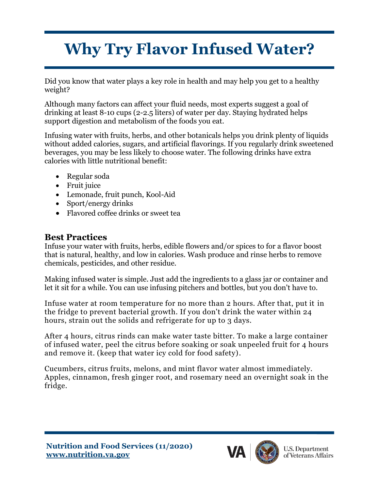## **Why Try Flavor Infused Water?**

Did you know that water plays a key role in health and may help you get to a healthy weight?

Although many factors can affect your fluid needs, most experts suggest a goal of drinking at least 8-10 cups (2-2.5 liters) of water per day. Staying hydrated helps support digestion and metabolism of the foods you eat.

Infusing water with fruits, herbs, and other botanicals helps you [drink plenty of liquids](https://www.allrecipes.com/article/how-to-drink-more-water-with-more-flavor/) without added calories, sugars, and artificial flavorings. If you regularly drink sweetened beverages, you may be less likely to choose water. The following drinks have extra calories with little nutritional benefit:

- Regular soda
- Fruit juice
- Lemonade, fruit punch, Kool-Aid
- Sport/energy drinks
- Flavored coffee drinks or sweet tea

## **Best Practices**

Infuse your water with fruits, herbs, edible flowers and/or spices to for a flavor boost that is natural, healthy, and low in calories. Wash produce and rinse herbs to remove chemicals, pesticides, and other residue.

Making infused water is simple. Just add the ingredients to a glass jar or container and let it sit for a while. You can use infusing pitchers and bottles, but you don't have to.

Infuse water at room temperature for no more than 2 hours. After that, put it in the fridge to prevent bacterial growth. If you don't drink the water within 24 hours, strain out the solids and refrigerate for up to 3 days.

After 4 hours, citrus rinds can make water taste bitter. To make a large container of infused water, peel the citrus before soaking or soak unpeeled fruit for 4 hours and remove it. (keep that water icy cold for food safety).

Cucumbers, citrus fruits, melons, and mint flavor water almost immediately. Apples, cinnamon, fresh ginger root, and rosemary need an overnight soak in the fridge.